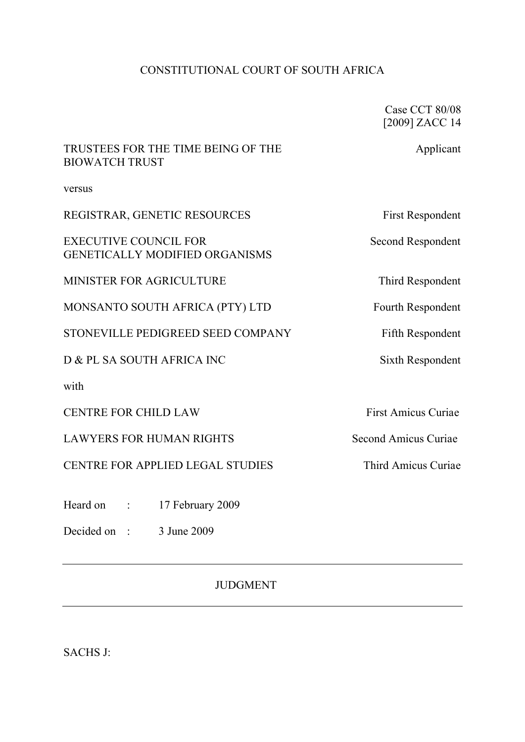# CONSTITUTIONAL COURT OF SOUTH AFRICA

Case CCT 80/08 [2009] ZACC 14

# TRUSTEES FOR THE TIME BEING OF THE Applicant BIOWATCH TRUST

versus

| REGISTRAR, GENETIC RESOURCES                                          | <b>First Respondent</b> |
|-----------------------------------------------------------------------|-------------------------|
| <b>EXECUTIVE COUNCIL FOR</b><br><b>GENETICALLY MODIFIED ORGANISMS</b> | Second Respondent       |
| MINISTER FOR AGRICULTURE                                              | Third Respondent        |
| MONSANTO SOUTH AFRICA (PTY) LTD                                       | Fourth Respondent       |
| STONEVILLE PEDIGREED SEED COMPANY                                     | Fifth Respondent        |

D & PL SA SOUTH AFRICA INC Sixth Respondent

with

CENTRE FOR CHILD LAW First Amicus Curiae

LAWYERS FOR HUMAN RIGHTS Second Amicus Curiae

CENTRE FOR APPLIED LEGAL STUDIES Third Amicus Curiae

Heard on : 17 February 2009

Decided on : 3 June 2009

JUDGMENT

SACHS J: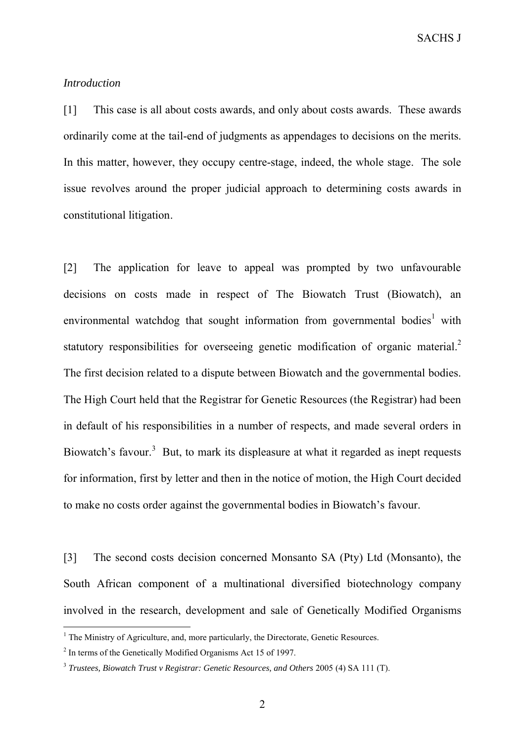SACHS J

# *Introduction*

[1] This case is all about costs awards, and only about costs awards. These awards ordinarily come at the tail-end of judgments as appendages to decisions on the merits. In this matter, however, they occupy centre-stage, indeed, the whole stage. The sole issue revolves around the proper judicial approach to determining costs awards in constitutional litigation.

[2] The application for leave to appeal was prompted by two unfavourable decisions on costs made in respect of The Biowatch Trust (Biowatch), an environmental watchdog that sought information from governmental bodies<sup>1</sup> with statutory responsibilities for overseeing genetic modification of organic material. $2$ The first decision related to a dispute between Biowatch and the governmental bodies. The High Court held that the Registrar for Genetic Resources (the Registrar) had been in default of his responsibilities in a number of respects, and made several orders in Biowatch's favour.<sup>3</sup> But, to mark its displeasure at what it regarded as inept requests for information, first by letter and then in the notice of motion, the High Court decided to make no costs order against the governmental bodies in Biowatch's favour.

[3] The second costs decision concerned Monsanto SA (Pty) Ltd (Monsanto), the South African component of a multinational diversified biotechnology company involved in the research, development and sale of Genetically Modified Organisms

 $<sup>1</sup>$  The Ministry of Agriculture, and, more particularly, the Directorate, Genetic Resources.</sup>

<sup>&</sup>lt;sup>2</sup> In terms of the Genetically Modified Organisms Act 15 of 1997.

<sup>3</sup> *Trustees, Biowatch Trust v Registrar: Genetic Resources, and Others* 2005 (4) SA 111 (T).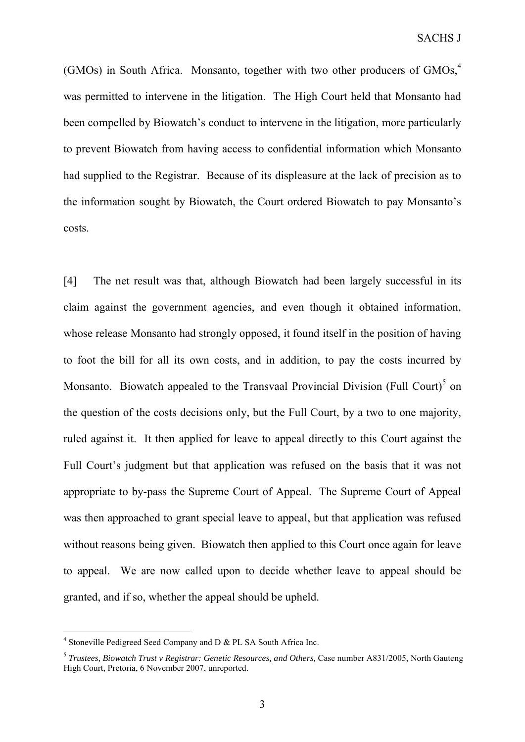(GMOs) in South Africa. Monsanto, together with two other producers of GMOs,<sup>4</sup> was permitted to intervene in the litigation. The High Court held that Monsanto had been compelled by Biowatch's conduct to intervene in the litigation, more particularly to prevent Biowatch from having access to confidential information which Monsanto had supplied to the Registrar. Because of its displeasure at the lack of precision as to the information sought by Biowatch, the Court ordered Biowatch to pay Monsanto's costs.

[4] The net result was that, although Biowatch had been largely successful in its claim against the government agencies, and even though it obtained information, whose release Monsanto had strongly opposed, it found itself in the position of having to foot the bill for all its own costs, and in addition, to pay the costs incurred by Monsanto. Biowatch appealed to the Transvaal Provincial Division (Full Court)<sup>5</sup> on the question of the costs decisions only, but the Full Court, by a two to one majority, ruled against it. It then applied for leave to appeal directly to this Court against the Full Court's judgment but that application was refused on the basis that it was not appropriate to by-pass the Supreme Court of Appeal. The Supreme Court of Appeal was then approached to grant special leave to appeal, but that application was refused without reasons being given. Biowatch then applied to this Court once again for leave to appeal. We are now called upon to decide whether leave to appeal should be granted, and if so, whether the appeal should be upheld.

<sup>&</sup>lt;sup>4</sup> Stoneville Pedigreed Seed Company and D & PL SA South Africa Inc.

<sup>&</sup>lt;sup>5</sup> *Trustees, Biowatch Trust v Registrar: Genetic Resources, and Others, Case number A831/2005, North Gauteng* High Court, Pretoria, 6 November 2007, unreported.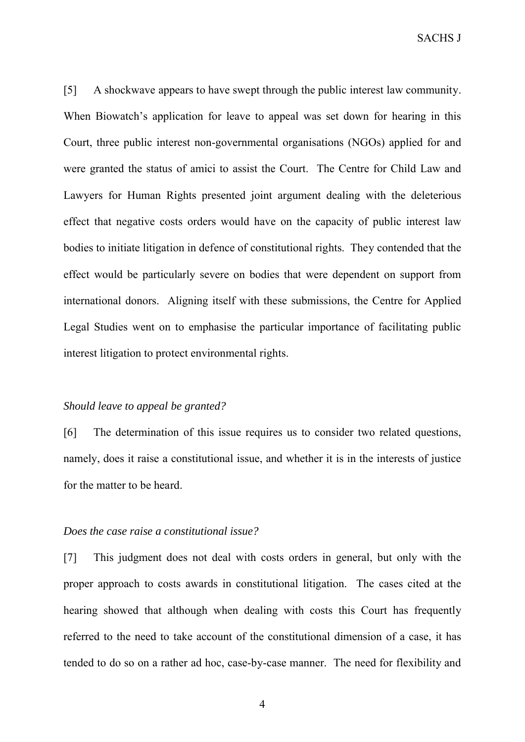SACHS J

[5] A shockwave appears to have swept through the public interest law community. When Biowatch's application for leave to appeal was set down for hearing in this Court, three public interest non-governmental organisations (NGOs) applied for and were granted the status of amici to assist the Court. The Centre for Child Law and Lawyers for Human Rights presented joint argument dealing with the deleterious effect that negative costs orders would have on the capacity of public interest law bodies to initiate litigation in defence of constitutional rights. They contended that the effect would be particularly severe on bodies that were dependent on support from international donors. Aligning itself with these submissions, the Centre for Applied Legal Studies went on to emphasise the particular importance of facilitating public interest litigation to protect environmental rights.

#### *Should leave to appeal be granted?*

[6] The determination of this issue requires us to consider two related questions, namely, does it raise a constitutional issue, and whether it is in the interests of justice for the matter to be heard.

### *Does the case raise a constitutional issue?*

[7] This judgment does not deal with costs orders in general, but only with the proper approach to costs awards in constitutional litigation. The cases cited at the hearing showed that although when dealing with costs this Court has frequently referred to the need to take account of the constitutional dimension of a case, it has tended to do so on a rather ad hoc, case-by-case manner. The need for flexibility and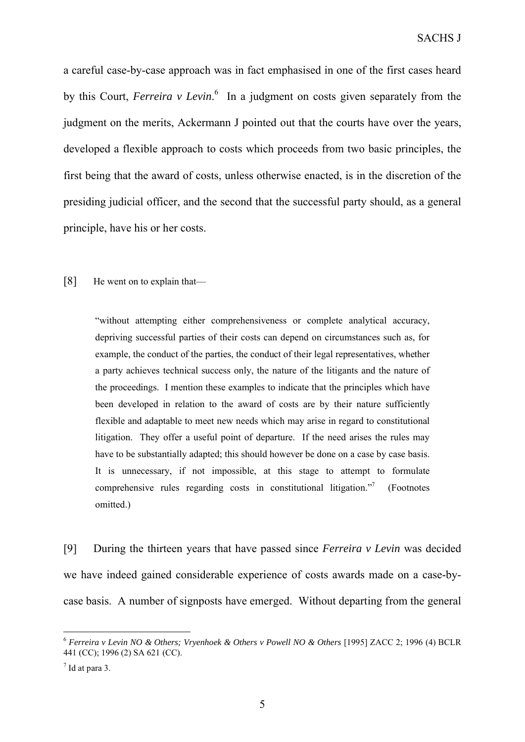a careful case-by-case approach was in fact emphasised in one of the first cases heard by this Court, *Ferreira v Levin*. 6 In a judgment on costs given separately from the judgment on the merits, Ackermann J pointed out that the courts have over the years, developed a flexible approach to costs which proceeds from two basic principles, the first being that the award of costs, unless otherwise enacted, is in the discretion of the presiding judicial officer, and the second that the successful party should, as a general principle, have his or her costs.

## [8] He went on to explain that—

"without attempting either comprehensiveness or complete analytical accuracy, depriving successful parties of their costs can depend on circumstances such as, for example, the conduct of the parties, the conduct of their legal representatives, whether a party achieves technical success only, the nature of the litigants and the nature of the proceedings. I mention these examples to indicate that the principles which have been developed in relation to the award of costs are by their nature sufficiently flexible and adaptable to meet new needs which may arise in regard to constitutional litigation. They offer a useful point of departure. If the need arises the rules may have to be substantially adapted; this should however be done on a case by case basis. It is unnecessary, if not impossible, at this stage to attempt to formulate comprehensive rules regarding costs in constitutional litigation."7 (Footnotes omitted.)

[9] During the thirteen years that have passed since *Ferreira v Levin* was decided we have indeed gained considerable experience of costs awards made on a case-bycase basis. A number of signposts have emerged. Without departing from the general

<sup>6</sup> *Ferreira v Levin NO & Others; Vryenhoek & Others v Powell NO & Others* [1995] ZACC 2; 1996 (4) BCLR 441 (CC); 1996 (2) SA 621 (CC).

 $<sup>7</sup>$  Id at para 3.</sup>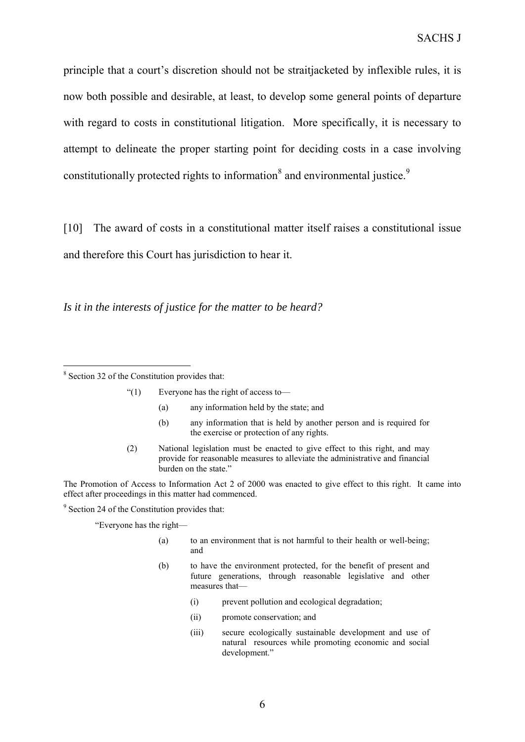principle that a court's discretion should not be straitjacketed by inflexible rules, it is now both possible and desirable, at least, to develop some general points of departure with regard to costs in constitutional litigation. More specifically, it is necessary to attempt to delineate the proper starting point for deciding costs in a case involving constitutionally protected rights to information<sup>8</sup> and environmental justice.<sup>9</sup>

[10] The award of costs in a constitutional matter itself raises a constitutional issue and therefore this Court has jurisdiction to hear it.

*Is it in the interests of justice for the matter to be heard?*

 $\overline{a}$ 

- "(1) Everyone has the right of access to—
	- (a) any information held by the state; and
	- (b) any information that is held by another person and is required for the exercise or protection of any rights.
- (2) National legislation must be enacted to give effect to this right, and may provide for reasonable measures to alleviate the administrative and financial burden on the state."

The Promotion of Access to Information Act 2 of 2000 was enacted to give effect to this right. It came into effect after proceedings in this matter had commenced.

<sup>9</sup> Section 24 of the Constitution provides that:

"Everyone has the right—

- (a) to an environment that is not harmful to their health or well-being; and
- (b) to have the environment protected, for the benefit of present and future generations, through reasonable legislative and other measures that—
	- (i) prevent pollution and ecological degradation;
	- (ii) promote conservation; and
	- (iii) secure ecologically sustainable development and use of natural resources while promoting economic and social development."

<sup>8</sup> Section 32 of the Constitution provides that: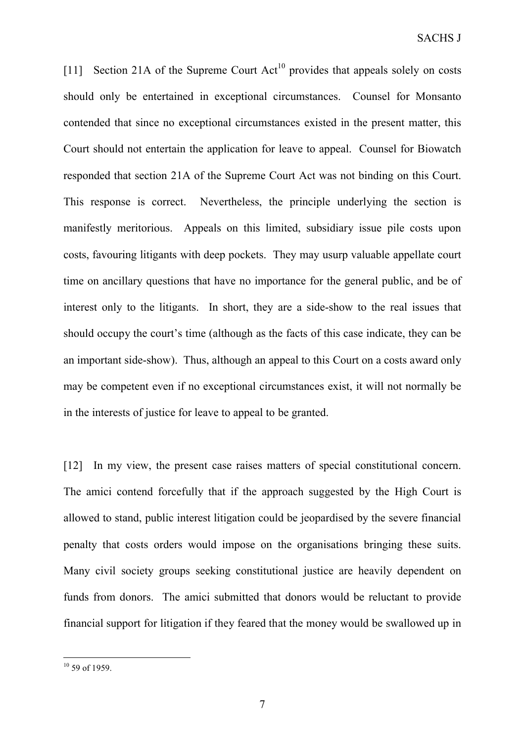[11] Section 21A of the Supreme Court  $Act^{10}$  provides that appeals solely on costs should only be entertained in exceptional circumstances. Counsel for Monsanto contended that since no exceptional circumstances existed in the present matter, this Court should not entertain the application for leave to appeal. Counsel for Biowatch responded that section 21A of the Supreme Court Act was not binding on this Court. This response is correct. Nevertheless, the principle underlying the section is manifestly meritorious. Appeals on this limited, subsidiary issue pile costs upon costs, favouring litigants with deep pockets. They may usurp valuable appellate court time on ancillary questions that have no importance for the general public, and be of interest only to the litigants. In short, they are a side-show to the real issues that should occupy the court's time (although as the facts of this case indicate, they can be an important side-show). Thus, although an appeal to this Court on a costs award only may be competent even if no exceptional circumstances exist, it will not normally be in the interests of justice for leave to appeal to be granted.

[12] In my view, the present case raises matters of special constitutional concern. The amici contend forcefully that if the approach suggested by the High Court is allowed to stand, public interest litigation could be jeopardised by the severe financial penalty that costs orders would impose on the organisations bringing these suits. Many civil society groups seeking constitutional justice are heavily dependent on funds from donors. The amici submitted that donors would be reluctant to provide financial support for litigation if they feared that the money would be swallowed up in

 $10$  59 of 1959.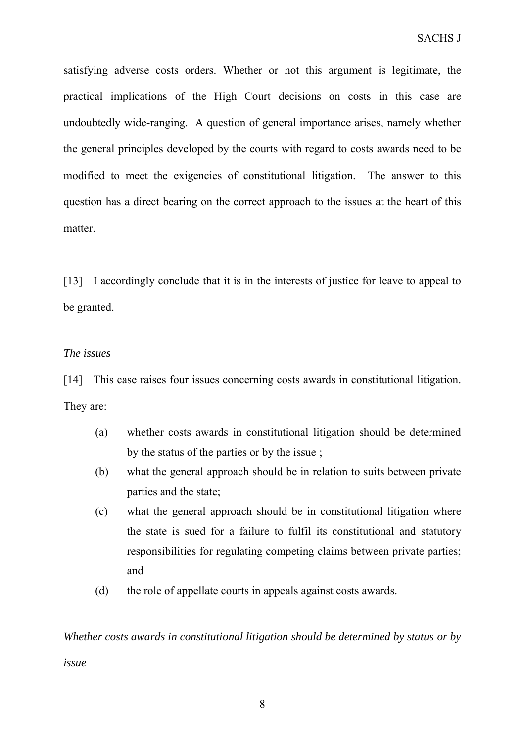satisfying adverse costs orders. Whether or not this argument is legitimate, the practical implications of the High Court decisions on costs in this case are undoubtedly wide-ranging. A question of general importance arises, namely whether the general principles developed by the courts with regard to costs awards need to be modified to meet the exigencies of constitutional litigation. The answer to this question has a direct bearing on the correct approach to the issues at the heart of this matter.

[13] I accordingly conclude that it is in the interests of justice for leave to appeal to be granted.

# *The issues*

[14] This case raises four issues concerning costs awards in constitutional litigation. They are:

- (a) whether costs awards in constitutional litigation should be determined by the status of the parties or by the issue ;
- (b) what the general approach should be in relation to suits between private parties and the state;
- (c) what the general approach should be in constitutional litigation where the state is sued for a failure to fulfil its constitutional and statutory responsibilities for regulating competing claims between private parties; and
- (d) the role of appellate courts in appeals against costs awards.

*Whether costs awards in constitutional litigation should be determined by status or by*

*issue*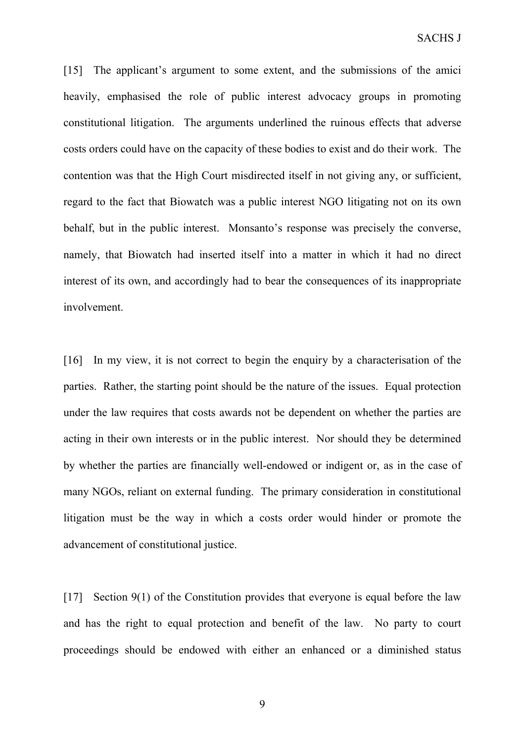[15] The applicant's argument to some extent, and the submissions of the amici heavily, emphasised the role of public interest advocacy groups in promoting constitutional litigation. The arguments underlined the ruinous effects that adverse costs orders could have on the capacity of these bodies to exist and do their work. The contention was that the High Court misdirected itself in not giving any, or sufficient, regard to the fact that Biowatch was a public interest NGO litigating not on its own behalf, but in the public interest. Monsanto's response was precisely the converse, namely, that Biowatch had inserted itself into a matter in which it had no direct interest of its own, and accordingly had to bear the consequences of its inappropriate involvement.

[16] In my view, it is not correct to begin the enquiry by a characterisation of the parties. Rather, the starting point should be the nature of the issues. Equal protection under the law requires that costs awards not be dependent on whether the parties are acting in their own interests or in the public interest. Nor should they be determined by whether the parties are financially well-endowed or indigent or, as in the case of many NGOs, reliant on external funding. The primary consideration in constitutional litigation must be the way in which a costs order would hinder or promote the advancement of constitutional justice.

[17] Section 9(1) of the Constitution provides that everyone is equal before the law and has the right to equal protection and benefit of the law. No party to court proceedings should be endowed with either an enhanced or a diminished status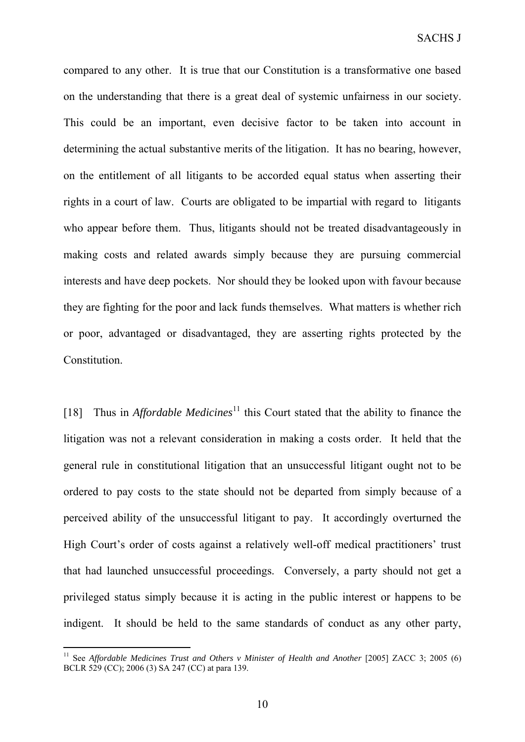compared to any other. It is true that our Constitution is a transformative one based on the understanding that there is a great deal of systemic unfairness in our society. This could be an important, even decisive factor to be taken into account in determining the actual substantive merits of the litigation. It has no bearing, however, on the entitlement of all litigants to be accorded equal status when asserting their rights in a court of law. Courts are obligated to be impartial with regard to litigants who appear before them. Thus, litigants should not be treated disadvantageously in making costs and related awards simply because they are pursuing commercial interests and have deep pockets. Nor should they be looked upon with favour because they are fighting for the poor and lack funds themselves. What matters is whether rich or poor, advantaged or disadvantaged, they are asserting rights protected by the Constitution.

[18] Thus in *Affordable Medicines*<sup>11</sup> this Court stated that the ability to finance the litigation was not a relevant consideration in making a costs order. It held that the general rule in constitutional litigation that an unsuccessful litigant ought not to be ordered to pay costs to the state should not be departed from simply because of a perceived ability of the unsuccessful litigant to pay. It accordingly overturned the High Court's order of costs against a relatively well-off medical practitioners' trust that had launched unsuccessful proceedings. Conversely, a party should not get a privileged status simply because it is acting in the public interest or happens to be indigent. It should be held to the same standards of conduct as any other party,

<sup>&</sup>lt;sup>11</sup> See *Affordable Medicines Trust and Others v Minister of Health and Another* [2005] ZACC 3: 2005 (6) BCLR 529 (CC); 2006 (3) SA 247 (CC) at para 139.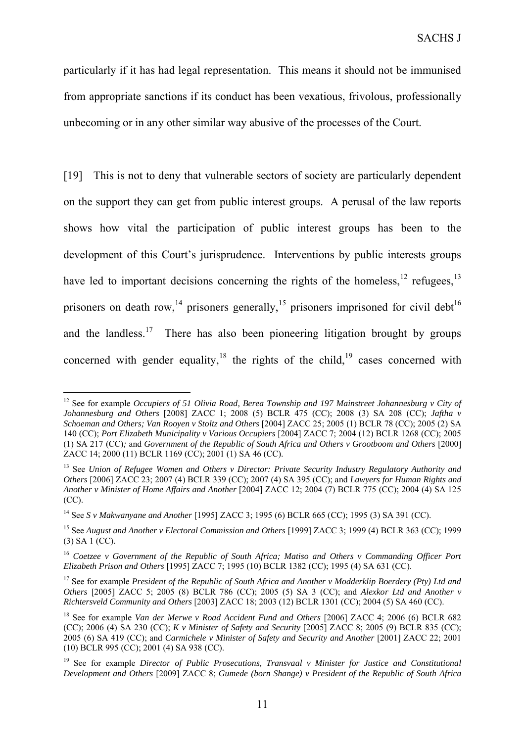particularly if it has had legal representation. This means it should not be immunised from appropriate sanctions if its conduct has been vexatious, frivolous, professionally unbecoming or in any other similar way abusive of the processes of the Court.

[19] This is not to deny that vulnerable sectors of society are particularly dependent on the support they can get from public interest groups. A perusal of the law reports shows how vital the participation of public interest groups has been to the development of this Court's jurisprudence. Interventions by public interests groups have led to important decisions concerning the rights of the homeless,  $^{12}$  refugees,  $^{13}$ prisoners on death row,<sup>14</sup> prisoners generally,<sup>15</sup> prisoners imprisoned for civil debt<sup>16</sup> and the landless.<sup>17</sup> There has also been pioneering litigation brought by groups concerned with gender equality, $18$  the rights of the child,  $19$  cases concerned with

<sup>&</sup>lt;sup>12</sup> See for example *Occupiers of 51 Olivia Road, Berea Township and 197 Mainstreet Johannesburg v City of Johannesburg and Others* [2008] ZACC 1; 2008 (5) BCLR 475 (CC); 2008 (3) SA 208 (CC); *Jaftha v Schoeman and Others; Van Rooyen v Stoltz and Others* [2004] ZACC 25; 2005 (1) BCLR 78 (CC); 2005 (2) SA 140 (CC); *Port Elizabeth Municipality v Various Occupiers* [2004] ZACC 7; 2004 (12) BCLR 1268 (CC); 2005 (1) SA 217 (CC)*;* and *Government of the Republic of South Africa and Others v Grootboom and Others* [2000] ZACC 14; 2000 (11) BCLR 1169 (CC); 2001 (1) SA 46 (CC).

<sup>13</sup> See *Union of Refugee Women and Others v Director: Private Security Industry Regulatory Authority and Others* [2006] ZACC 23; 2007 (4) BCLR 339 (CC); 2007 (4) SA 395 (CC); and *Lawyers for Human Rights and Another v Minister of Home Affairs and Another* [2004] ZACC 12; 2004 (7) BCLR 775 (CC); 2004 (4) SA 125 (CC).

<sup>14</sup> See *S v Makwanyane and Another* [1995] ZACC 3; 1995 (6) BCLR 665 (CC); 1995 (3) SA 391 (CC).

<sup>&</sup>lt;sup>15</sup> See August and Another v Electoral Commission and Others [1999] ZACC 3; 1999 (4) BCLR 363 (CC); 1999 (3) SA 1 (CC).

<sup>16</sup> *Coetzee v Government of the Republic of South Africa; Matiso and Others v Commanding Officer Port Elizabeth Prison and Others* [1995] ZACC 7; 1995 (10) BCLR 1382 (CC); 1995 (4) SA 631 (CC).

<sup>17</sup> See for example *President of the Republic of South Africa and Another v Modderklip Boerdery (Pty) Ltd and Others* [2005] ZACC 5; 2005 (8) BCLR 786 (CC); 2005 (5) SA 3 (CC); and *Alexkor Ltd and Another v Richtersveld Community and Others* [2003] ZACC 18; 2003 (12) BCLR 1301 (CC); 2004 (5) SA 460 (CC).

<sup>&</sup>lt;sup>18</sup> See for example *Van der Merwe v Road Accident Fund and Others* [2006] ZACC 4; 2006 (6) BCLR 682 (CC); 2006 (4) SA 230 (CC); *K v Minister of Safety and Security* [2005] ZACC 8; 2005 (9) BCLR 835 (CC); 2005 (6) SA 419 (CC); and *Carmichele v Minister of Safety and Security and Another* [2001] ZACC 22; 2001 (10) BCLR 995 (CC); 2001 (4) SA 938 (CC).

<sup>19</sup> See for example *Director of Public Prosecutions, Transvaal v Minister for Justice and Constitutional Development and Others* [2009] ZACC 8; *Gumede (born Shange) v President of the Republic of South Africa*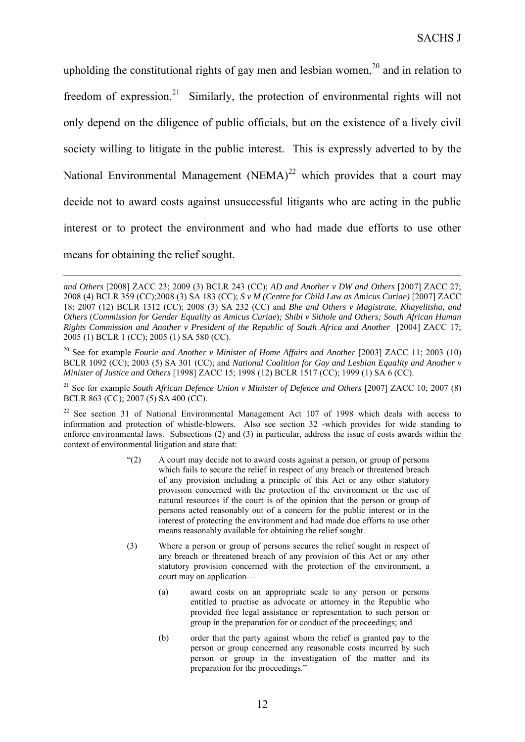upholding the constitutional rights of gay men and lesbian women, $^{20}$  and in relation to freedom of expression.<sup>21</sup> Similarly, the protection of environmental rights will not only depend on the diligence of public officials, but on the existence of a lively civil society willing to litigate in the public interest. This is expressly adverted to by the National Environmental Management (NEMA)<sup>22</sup> which provides that a court may decide not to award costs against unsuccessful litigants who are acting in the public interest or to protect the environment and who had made due efforts to use other means for obtaining the relief sought.

- "(2) A court may decide not to award costs against a person, or group of persons which fails to secure the relief in respect of any breach or threatened breach of any provision including a principle of this Act or any other statutory provision concerned with the protection of the environment or the use of natural resources if the court is of the opinion that the person or group of persons acted reasonably out of a concern for the public interest or in the interest of protecting the environment and had made due efforts to use other means reasonably available for obtaining the relief sought.
- (3) Where a person or group of persons secures the relief sought in respect of any breach or threatened breach of any provision of this Act or any other statutory provision concerned with the protection of the environment, a court may on application—
	- (a) award costs on an appropriate scale to any person or persons entitled to practise as advocate or attorney in the Republic who provided free legal assistance or representation to such person or group in the preparation for or conduct of the proceedings; and
	- (b) order that the party against whom the relief is granted pay to the person or group concerned any reasonable costs incurred by such person or group in the investigation of the matter and its preparation for the proceedings."

*and Others* [2008] ZACC 23; 2009 (3) BCLR 243 (CC); *AD and Another v DW and Others* [2007] ZACC 27; 2008 (4) BCLR 359 (CC);2008 (3) SA 183 (CC); *S v M (Centre for Child Law as Amicus Curiae)* [2007] ZACC 18; 2007 (12) BCLR 1312 (CC); 2008 (3) SA 232 (CC) and *Bhe and Others v Magistrate, Khayelitsha, and Others* (*Commission for Gender Equality as Amicus Curiae*)*; Shibi v Sithole and Others; South African Human Rights Commission and Another v President of the Republic of South Africa and Another* [2004] ZACC 17; 2005 (1) BCLR 1 (CC); 2005 (1) SA 580 (CC).

<sup>20</sup> See for example *Fourie and Another v Minister of Home Affairs and Another* [2003] ZACC 11; 2003 (10) BCLR 1092 (CC); 2003 (5) SA 301 (CC); and *National Coalition for Gay and Lesbian Equality and Another v Minister of Justice and Others* [1998] ZACC 15; 1998 (12) BCLR 1517 (CC); 1999 (1) SA 6 (CC).

<sup>&</sup>lt;sup>21</sup> See for example *South African Defence Union v Minister of Defence and Others* [2007] ZACC 10; 2007 (8) BCLR 863 (CC); 2007 (5) SA 400 (CC).

 $22$  See section 31 of National Environmental Management Act 107 of 1998 which deals with access to information and protection of whistle-blowers. Also see section 32 -which provides for wide standing to enforce environmental laws. Subsections (2) and (3) in particular, address the issue of costs awards within the context of environmental litigation and state that: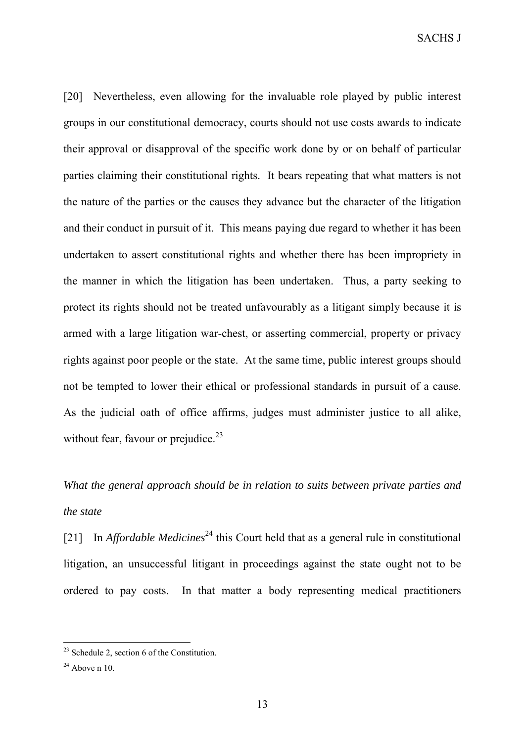SACHS J

[20] Nevertheless, even allowing for the invaluable role played by public interest groups in our constitutional democracy, courts should not use costs awards to indicate their approval or disapproval of the specific work done by or on behalf of particular parties claiming their constitutional rights. It bears repeating that what matters is not the nature of the parties or the causes they advance but the character of the litigation and their conduct in pursuit of it. This means paying due regard to whether it has been undertaken to assert constitutional rights and whether there has been impropriety in the manner in which the litigation has been undertaken. Thus, a party seeking to protect its rights should not be treated unfavourably as a litigant simply because it is armed with a large litigation war-chest, or asserting commercial, property or privacy rights against poor people or the state. At the same time, public interest groups should not be tempted to lower their ethical or professional standards in pursuit of a cause. As the judicial oath of office affirms, judges must administer justice to all alike, without fear, favour or prejudice. $23$ 

# *What the general approach should be in relation to suits between private parties and the state*

[21] In *Affordable Medicines*<sup>24</sup> this Court held that as a general rule in constitutional litigation, an unsuccessful litigant in proceedings against the state ought not to be ordered to pay costs. In that matter a body representing medical practitioners

 $^{23}$  Schedule 2, section 6 of the Constitution.

 $24$  Above n 10.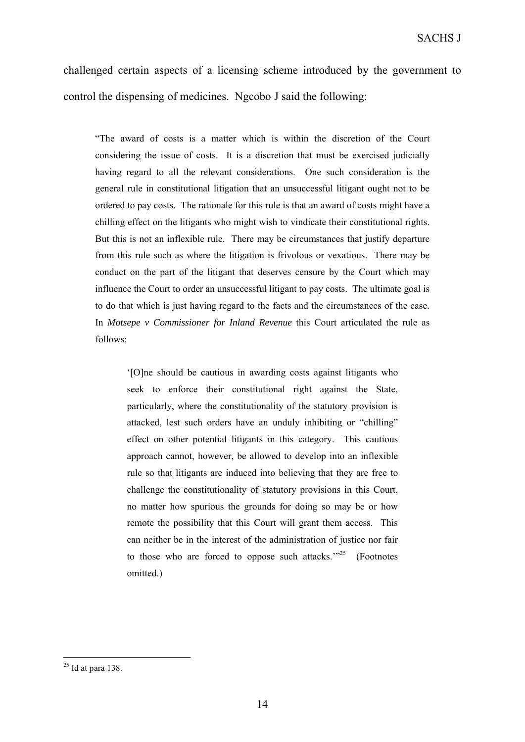challenged certain aspects of a licensing scheme introduced by the government to control the dispensing of medicines. Ngcobo J said the following:

"The award of costs is a matter which is within the discretion of the Court considering the issue of costs. It is a discretion that must be exercised judicially having regard to all the relevant considerations. One such consideration is the general rule in constitutional litigation that an unsuccessful litigant ought not to be ordered to pay costs. The rationale for this rule is that an award of costs might have a chilling effect on the litigants who might wish to vindicate their constitutional rights. But this is not an inflexible rule. There may be circumstances that justify departure from this rule such as where the litigation is frivolous or vexatious. There may be conduct on the part of the litigant that deserves censure by the Court which may influence the Court to order an unsuccessful litigant to pay costs. The ultimate goal is to do that which is just having regard to the facts and the circumstances of the case. In *Motsepe v Commissioner for Inland Revenue* this Court articulated the rule as follows:

'[O]ne should be cautious in awarding costs against litigants who seek to enforce their constitutional right against the State, particularly, where the constitutionality of the statutory provision is attacked, lest such orders have an unduly inhibiting or "chilling" effect on other potential litigants in this category. This cautious approach cannot, however, be allowed to develop into an inflexible rule so that litigants are induced into believing that they are free to challenge the constitutionality of statutory provisions in this Court, no matter how spurious the grounds for doing so may be or how remote the possibility that this Court will grant them access. This can neither be in the interest of the administration of justice nor fair to those who are forced to oppose such attacks."<sup>25</sup> (Footnotes omitted.)

 $25$  Id at para 138.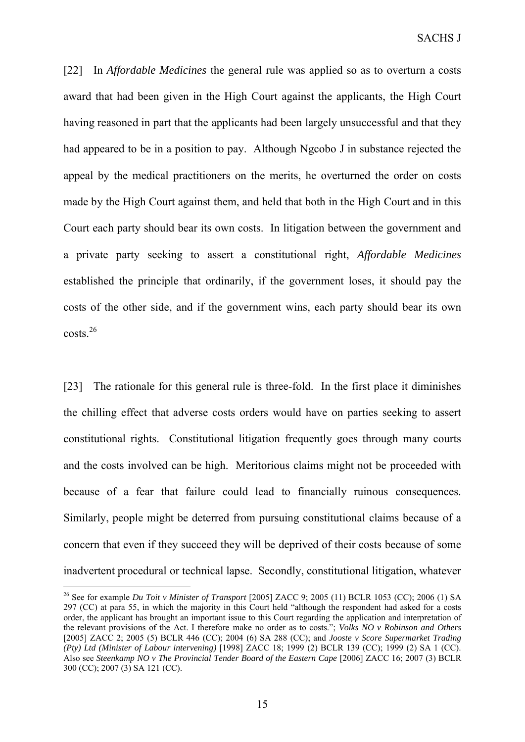[22] In *Affordable Medicines* the general rule was applied so as to overturn a costs award that had been given in the High Court against the applicants, the High Court having reasoned in part that the applicants had been largely unsuccessful and that they had appeared to be in a position to pay. Although Ngcobo J in substance rejected the appeal by the medical practitioners on the merits, he overturned the order on costs made by the High Court against them, and held that both in the High Court and in this Court each party should bear its own costs. In litigation between the government and a private party seeking to assert a constitutional right, *Affordable Medicines*  established the principle that ordinarily, if the government loses, it should pay the costs of the other side, and if the government wins, each party should bear its own costs.<sup>26</sup>

[23] The rationale for this general rule is three-fold. In the first place it diminishes the chilling effect that adverse costs orders would have on parties seeking to assert constitutional rights. Constitutional litigation frequently goes through many courts and the costs involved can be high. Meritorious claims might not be proceeded with because of a fear that failure could lead to financially ruinous consequences. Similarly, people might be deterred from pursuing constitutional claims because of a concern that even if they succeed they will be deprived of their costs because of some inadvertent procedural or technical lapse. Secondly, constitutional litigation, whatever

<sup>26</sup> See for example *Du Toit v Minister of Transport* [2005] ZACC 9; 2005 (11) BCLR 1053 (CC); 2006 (1) SA 297 (CC) at para 55, in which the majority in this Court held "although the respondent had asked for a costs order, the applicant has brought an important issue to this Court regarding the application and interpretation of the relevant provisions of the Act. I therefore make no order as to costs."; *Volks NO v Robinson and Others* [2005] ZACC 2; 2005 (5) BCLR 446 (CC); 2004 (6) SA 288 (CC); and *Jooste v Score Supermarket Trading (Pty) Ltd (Minister of Labour intervening)* [1998] ZACC 18; 1999 (2) BCLR 139 (CC); 1999 (2) SA 1 (CC). Also see *Steenkamp NO v The Provincial Tender Board of the Eastern Cape* [2006] ZACC 16: 2007 (3) BCLR 300 (CC); 2007 (3) SA 121 (CC).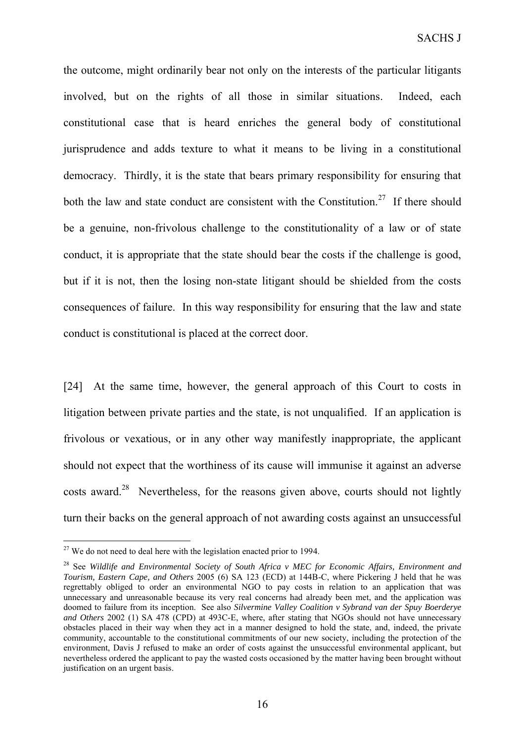the outcome, might ordinarily bear not only on the interests of the particular litigants involved, but on the rights of all those in similar situations. Indeed, each constitutional case that is heard enriches the general body of constitutional jurisprudence and adds texture to what it means to be living in a constitutional democracy. Thirdly, it is the state that bears primary responsibility for ensuring that both the law and state conduct are consistent with the Constitution.<sup>27</sup> If there should be a genuine, non-frivolous challenge to the constitutionality of a law or of state conduct, it is appropriate that the state should bear the costs if the challenge is good, but if it is not, then the losing non-state litigant should be shielded from the costs consequences of failure. In this way responsibility for ensuring that the law and state conduct is constitutional is placed at the correct door.

[24] At the same time, however, the general approach of this Court to costs in litigation between private parties and the state, is not unqualified. If an application is frivolous or vexatious, or in any other way manifestly inappropriate, the applicant should not expect that the worthiness of its cause will immunise it against an adverse costs award.<sup>28</sup> Nevertheless, for the reasons given above, courts should not lightly turn their backs on the general approach of not awarding costs against an unsuccessful

 $27$  We do not need to deal here with the legislation enacted prior to 1994.

<sup>28</sup> See *Wildlife and Environmental Society of South Africa v MEC for Economic Affairs, Environment and Tourism, Eastern Cape, and Others* 2005 (6) SA 123 (ECD) at 144B-C, where Pickering J held that he was regrettably obliged to order an environmental NGO to pay costs in relation to an application that was unnecessary and unreasonable because its very real concerns had already been met, and the application was doomed to failure from its inception. See also *Silvermine Valley Coalition v Sybrand van der Spuy Boerderye and Others* 2002 (1) SA 478 (CPD) at 493C-E, where, after stating that NGOs should not have unnecessary obstacles placed in their way when they act in a manner designed to hold the state, and, indeed, the private community, accountable to the constitutional commitments of our new society, including the protection of the environment, Davis J refused to make an order of costs against the unsuccessful environmental applicant, but nevertheless ordered the applicant to pay the wasted costs occasioned by the matter having been brought without justification on an urgent basis.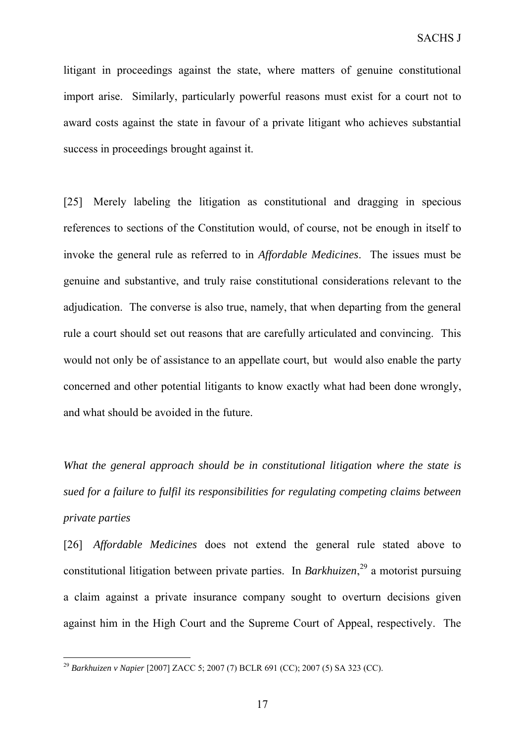litigant in proceedings against the state, where matters of genuine constitutional import arise. Similarly, particularly powerful reasons must exist for a court not to award costs against the state in favour of a private litigant who achieves substantial success in proceedings brought against it.

[25] Merely labeling the litigation as constitutional and dragging in specious references to sections of the Constitution would, of course, not be enough in itself to invoke the general rule as referred to in *Affordable Medicines*. The issues must be genuine and substantive, and truly raise constitutional considerations relevant to the adjudication. The converse is also true, namely, that when departing from the general rule a court should set out reasons that are carefully articulated and convincing. This would not only be of assistance to an appellate court, but would also enable the party concerned and other potential litigants to know exactly what had been done wrongly, and what should be avoided in the future.

*What the general approach should be in constitutional litigation where the state is sued for a failure to fulfil its responsibilities for regulating competing claims between private parties*

[26] *Affordable Medicines* does not extend the general rule stated above to constitutional litigation between private parties. In *Barkhuizen*, 29 a motorist pursuing a claim against a private insurance company sought to overturn decisions given against him in the High Court and the Supreme Court of Appeal, respectively. The

<sup>29</sup> *Barkhuizen v Napier* [2007] ZACC 5; 2007 (7) BCLR 691 (CC); 2007 (5) SA 323 (CC).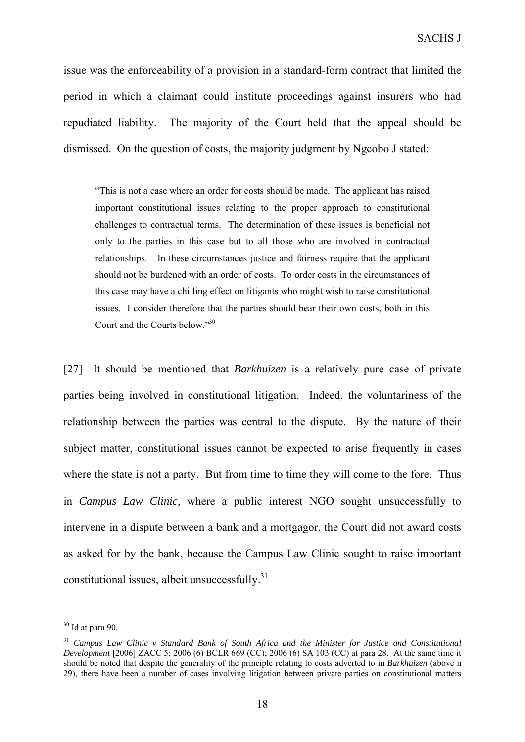issue was the enforceability of a provision in a standard-form contract that limited the period in which a claimant could institute proceedings against insurers who had repudiated liability. The majority of the Court held that the appeal should be dismissed. On the question of costs, the majority judgment by Ngcobo J stated:

"This is not a case where an order for costs should be made. The applicant has raised important constitutional issues relating to the proper approach to constitutional challenges to contractual terms. The determination of these issues is beneficial not only to the parties in this case but to all those who are involved in contractual relationships. In these circumstances justice and fairness require that the applicant should not be burdened with an order of costs. To order costs in the circumstances of this case may have a chilling effect on litigants who might wish to raise constitutional issues. I consider therefore that the parties should bear their own costs, both in this Court and the Courts below."30

[27] It should be mentioned that *Barkhuizen* is a relatively pure case of private parties being involved in constitutional litigation. Indeed, the voluntariness of the relationship between the parties was central to the dispute. By the nature of their subject matter, constitutional issues cannot be expected to arise frequently in cases where the state is not a party. But from time to time they will come to the fore. Thus in *Campus Law Clinic*, where a public interest NGO sought unsuccessfully to intervene in a dispute between a bank and a mortgagor, the Court did not award costs as asked for by the bank, because the Campus Law Clinic sought to raise important constitutional issues, albeit unsuccessfully. $31$ 

 $30$  Id at para 90.

<sup>31</sup> *Campus Law Clinic v Standard Bank of South Africa and the Minister for Justice and Constitutional Development* [2006] ZACC 5; 2006 (6) BCLR 669 (CC); 2006 (6) SA 103 (CC) at para 28. At the same time it should be noted that despite the generality of the principle relating to costs adverted to in *Barkhuizen* (above n 29), there have been a number of cases involving litigation between private parties on constitutional matters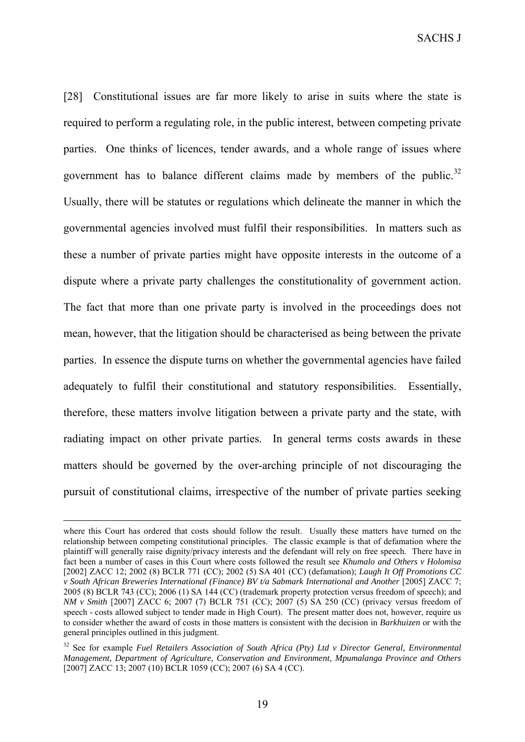SACHS J

[28] Constitutional issues are far more likely to arise in suits where the state is required to perform a regulating role, in the public interest, between competing private parties. One thinks of licences, tender awards, and a whole range of issues where government has to balance different claims made by members of the public. $32$ Usually, there will be statutes or regulations which delineate the manner in which the governmental agencies involved must fulfil their responsibilities. In matters such as these a number of private parties might have opposite interests in the outcome of a dispute where a private party challenges the constitutionality of government action. The fact that more than one private party is involved in the proceedings does not mean, however, that the litigation should be characterised as being between the private parties. In essence the dispute turns on whether the governmental agencies have failed adequately to fulfil their constitutional and statutory responsibilities. Essentially, therefore, these matters involve litigation between a private party and the state, with radiating impact on other private parties. In general terms costs awards in these matters should be governed by the over-arching principle of not discouraging the pursuit of constitutional claims, irrespective of the number of private parties seeking

where this Court has ordered that costs should follow the result. Usually these matters have turned on the relationship between competing constitutional principles. The classic example is that of defamation where the plaintiff will generally raise dignity/privacy interests and the defendant will rely on free speech. There have in fact been a number of cases in this Court where costs followed the result see *Khumalo and Others v Holomisa*  [2002] ZACC 12; 2002 (8) BCLR 771 (CC); 2002 (5) SA 401 (CC) (defamation); *Laugh It Off Promotions CC v South African Breweries International (Finance) BV t/a Sabmark International and Another* [2005] ZACC 7; 2005 (8) BCLR 743 (CC); 2006 (1) SA 144 (CC) (trademark property protection versus freedom of speech); and *NM v Smith* [2007] ZACC 6; 2007 (7) BCLR 751 (CC); 2007 (5) SA 250 (CC) (privacy versus freedom of speech - costs allowed subject to tender made in High Court). The present matter does not, however, require us to consider whether the award of costs in those matters is consistent with the decision in *Barkhuizen* or with the general principles outlined in this judgment.

<sup>&</sup>lt;sup>32</sup> See for example *Fuel Retailers Association of South Africa (Pty) Ltd v Director General, Environmental Management, Department of Agriculture, Conservation and Environment, Mpumalanga Province and Others*  [2007] ZACC 13; 2007 (10) BCLR 1059 (CC); 2007 (6) SA 4 (CC).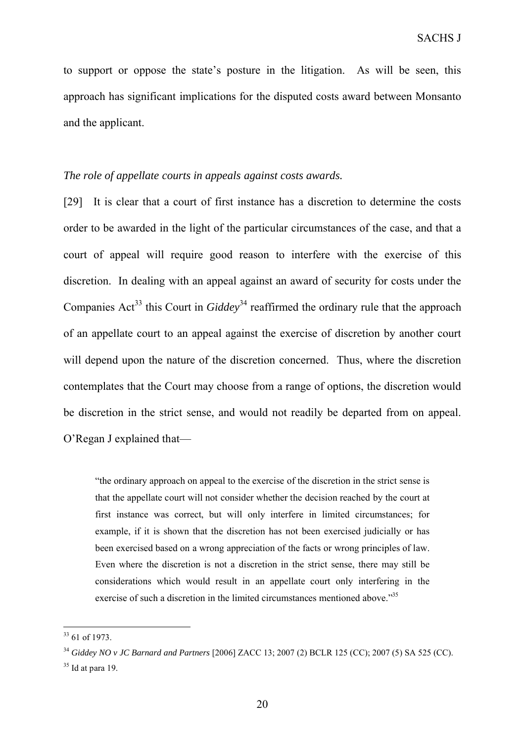to support or oppose the state's posture in the litigation. As will be seen, this approach has significant implications for the disputed costs award between Monsanto and the applicant.

# *The role of appellate courts in appeals against costs awards.*

[29] It is clear that a court of first instance has a discretion to determine the costs order to be awarded in the light of the particular circumstances of the case, and that a court of appeal will require good reason to interfere with the exercise of this discretion. In dealing with an appeal against an award of security for costs under the Companies Act<sup>33</sup> this Court in *Giddey*<sup>34</sup> reaffirmed the ordinary rule that the approach of an appellate court to an appeal against the exercise of discretion by another court will depend upon the nature of the discretion concerned. Thus, where the discretion contemplates that the Court may choose from a range of options, the discretion would be discretion in the strict sense, and would not readily be departed from on appeal. O'Regan J explained that—

"the ordinary approach on appeal to the exercise of the discretion in the strict sense is that the appellate court will not consider whether the decision reached by the court at first instance was correct, but will only interfere in limited circumstances; for example, if it is shown that the discretion has not been exercised judicially or has been exercised based on a wrong appreciation of the facts or wrong principles of law. Even where the discretion is not a discretion in the strict sense, there may still be considerations which would result in an appellate court only interfering in the exercise of such a discretion in the limited circumstances mentioned above."<sup>35</sup>

<sup>33</sup> 61 of 1973.

<sup>34</sup> *Giddey NO v JC Barnard and Partners* [2006] ZACC 13; 2007 (2) BCLR 125 (CC); 2007 (5) SA 525 (CC).

 $35$  Id at para 19.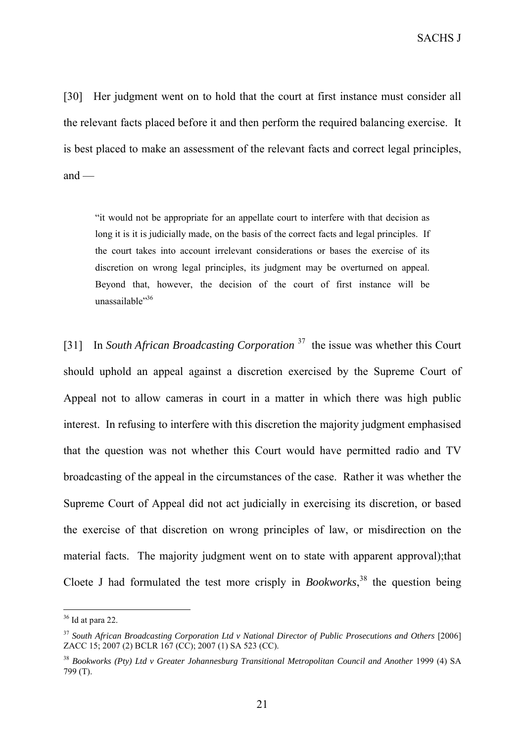SACHS J

[30] Her judgment went on to hold that the court at first instance must consider all the relevant facts placed before it and then perform the required balancing exercise. It is best placed to make an assessment of the relevant facts and correct legal principles, and  $-$ 

"it would not be appropriate for an appellate court to interfere with that decision as long it is it is judicially made, on the basis of the correct facts and legal principles. If the court takes into account irrelevant considerations or bases the exercise of its discretion on wrong legal principles, its judgment may be overturned on appeal. Beyond that, however, the decision of the court of first instance will be unassailable"<sup>36</sup>

[31] In *South African Broadcasting Corporation* <sup>37</sup> the issue was whether this Court should uphold an appeal against a discretion exercised by the Supreme Court of Appeal not to allow cameras in court in a matter in which there was high public interest. In refusing to interfere with this discretion the majority judgment emphasised that the question was not whether this Court would have permitted radio and TV broadcasting of the appeal in the circumstances of the case. Rather it was whether the Supreme Court of Appeal did not act judicially in exercising its discretion, or based the exercise of that discretion on wrong principles of law, or misdirection on the material facts. The majority judgment went on to state with apparent approval);that Cloete J had formulated the test more crisply in *Bookworks*, 38 the question being

 $36$  Id at para 22.

<sup>37</sup> *South African Broadcasting Corporation Ltd v National Director of Public Prosecutions and Others* [2006] ZACC 15; 2007 (2) BCLR 167 (CC); 2007 (1) SA 523 (CC).

<sup>38</sup> *Bookworks (Pty) Ltd v Greater Johannesburg Transitional Metropolitan Council and Another* 1999 (4) SA 799 (T).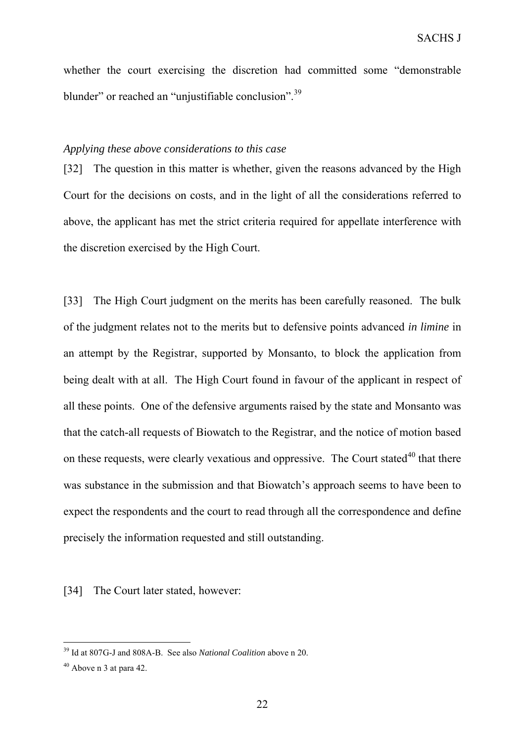whether the court exercising the discretion had committed some "demonstrable blunder" or reached an "unjustifiable conclusion".<sup>39</sup>

## *Applying these above considerations to this case*

[32] The question in this matter is whether, given the reasons advanced by the High Court for the decisions on costs, and in the light of all the considerations referred to above, the applicant has met the strict criteria required for appellate interference with the discretion exercised by the High Court.

[33] The High Court judgment on the merits has been carefully reasoned. The bulk of the judgment relates not to the merits but to defensive points advanced *in limine* in an attempt by the Registrar, supported by Monsanto, to block the application from being dealt with at all. The High Court found in favour of the applicant in respect of all these points. One of the defensive arguments raised by the state and Monsanto was that the catch-all requests of Biowatch to the Registrar, and the notice of motion based on these requests, were clearly vexatious and oppressive. The Court stated<sup>40</sup> that there was substance in the submission and that Biowatch's approach seems to have been to expect the respondents and the court to read through all the correspondence and define precisely the information requested and still outstanding.

[34] The Court later stated, however:

<sup>39</sup> Id at 807G-J and 808A-B. See also *National Coalition* above n 20.

<sup>40</sup> Above n 3 at para 42.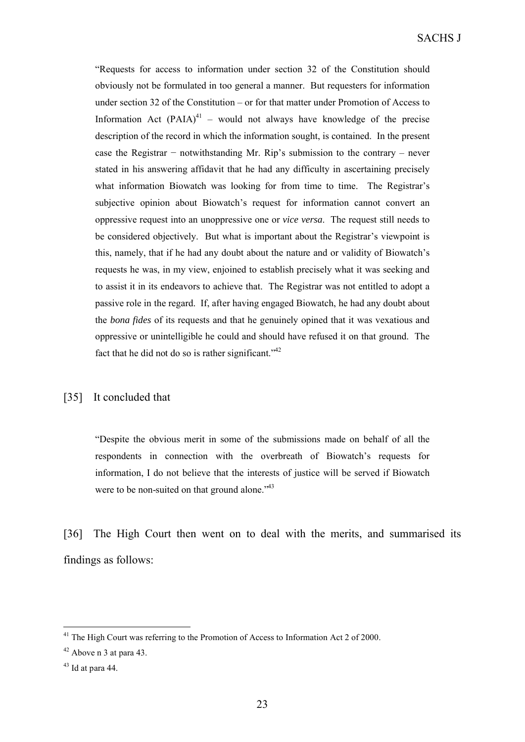SACHS J

"Requests for access to information under section 32 of the Constitution should obviously not be formulated in too general a manner. But requesters for information under section 32 of the Constitution – or for that matter under Promotion of Access to Information Act  $(PAIA)^{41}$  – would not always have knowledge of the precise description of the record in which the information sought, is contained. In the present case the Registrar − notwithstanding Mr. Rip's submission to the contrary – never stated in his answering affidavit that he had any difficulty in ascertaining precisely what information Biowatch was looking for from time to time. The Registrar's subjective opinion about Biowatch's request for information cannot convert an oppressive request into an unoppressive one or *vice versa*. The request still needs to be considered objectively. But what is important about the Registrar's viewpoint is this, namely, that if he had any doubt about the nature and or validity of Biowatch's requests he was, in my view, enjoined to establish precisely what it was seeking and to assist it in its endeavors to achieve that. The Registrar was not entitled to adopt a passive role in the regard. If, after having engaged Biowatch, he had any doubt about the *bona fides* of its requests and that he genuinely opined that it was vexatious and oppressive or unintelligible he could and should have refused it on that ground. The fact that he did not do so is rather significant.<sup> $1/42$ </sup>

#### [35] It concluded that

"Despite the obvious merit in some of the submissions made on behalf of all the respondents in connection with the overbreath of Biowatch's requests for information, I do not believe that the interests of justice will be served if Biowatch were to be non-suited on that ground alone."<sup>43</sup>

[36] The High Court then went on to deal with the merits, and summarised its findings as follows:

<sup>&</sup>lt;sup>41</sup> The High Court was referring to the Promotion of Access to Information Act 2 of 2000.

 $42$  Above n 3 at para 43.

 $43$  Id at para 44.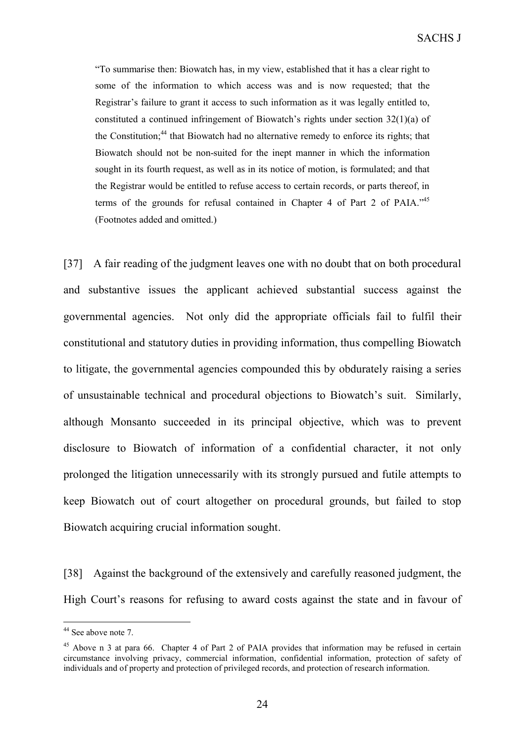"To summarise then: Biowatch has, in my view, established that it has a clear right to some of the information to which access was and is now requested; that the Registrar's failure to grant it access to such information as it was legally entitled to, constituted a continued infringement of Biowatch's rights under section  $32(1)(a)$  of the Constitution:<sup>44</sup> that Biowatch had no alternative remedy to enforce its rights; that Biowatch should not be non-suited for the inept manner in which the information sought in its fourth request, as well as in its notice of motion, is formulated; and that the Registrar would be entitled to refuse access to certain records, or parts thereof, in terms of the grounds for refusal contained in Chapter 4 of Part 2 of PAIA."<sup>45</sup> (Footnotes added and omitted.)

[37] A fair reading of the judgment leaves one with no doubt that on both procedural and substantive issues the applicant achieved substantial success against the governmental agencies. Not only did the appropriate officials fail to fulfil their constitutional and statutory duties in providing information, thus compelling Biowatch to litigate, the governmental agencies compounded this by obdurately raising a series of unsustainable technical and procedural objections to Biowatch's suit. Similarly, although Monsanto succeeded in its principal objective, which was to prevent disclosure to Biowatch of information of a confidential character, it not only prolonged the litigation unnecessarily with its strongly pursued and futile attempts to keep Biowatch out of court altogether on procedural grounds, but failed to stop Biowatch acquiring crucial information sought.

[38] Against the background of the extensively and carefully reasoned judgment, the High Court's reasons for refusing to award costs against the state and in favour of

<sup>&</sup>lt;sup>44</sup> See above note 7.

<sup>&</sup>lt;sup>45</sup> Above n 3 at para 66. Chapter 4 of Part 2 of PAIA provides that information may be refused in certain circumstance involving privacy, commercial information, confidential information, protection of safety of individuals and of property and protection of privileged records, and protection of research information.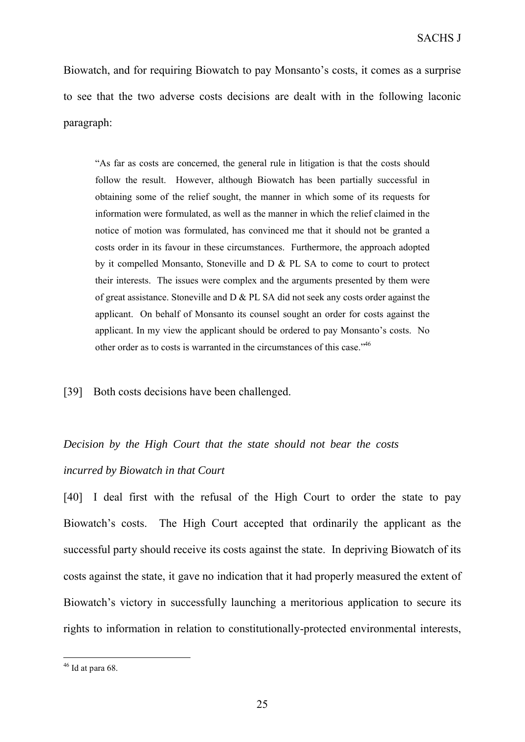Biowatch, and for requiring Biowatch to pay Monsanto's costs, it comes as a surprise to see that the two adverse costs decisions are dealt with in the following laconic paragraph:

"As far as costs are concerned, the general rule in litigation is that the costs should follow the result. However, although Biowatch has been partially successful in obtaining some of the relief sought, the manner in which some of its requests for information were formulated, as well as the manner in which the relief claimed in the notice of motion was formulated, has convinced me that it should not be granted a costs order in its favour in these circumstances. Furthermore, the approach adopted by it compelled Monsanto, Stoneville and D & PL SA to come to court to protect their interests. The issues were complex and the arguments presented by them were of great assistance. Stoneville and  $D & PL$  SA did not seek any costs order against the applicant. On behalf of Monsanto its counsel sought an order for costs against the applicant. In my view the applicant should be ordered to pay Monsanto's costs. No other order as to costs is warranted in the circumstances of this case."46

[39] Both costs decisions have been challenged.

# *Decision by the High Court that the state should not bear the costs incurred by Biowatch in that Court*

[40] I deal first with the refusal of the High Court to order the state to pay Biowatch's costs. The High Court accepted that ordinarily the applicant as the successful party should receive its costs against the state. In depriving Biowatch of its costs against the state, it gave no indication that it had properly measured the extent of Biowatch's victory in successfully launching a meritorious application to secure its rights to information in relation to constitutionally-protected environmental interests,

 $46$  Id at para 68.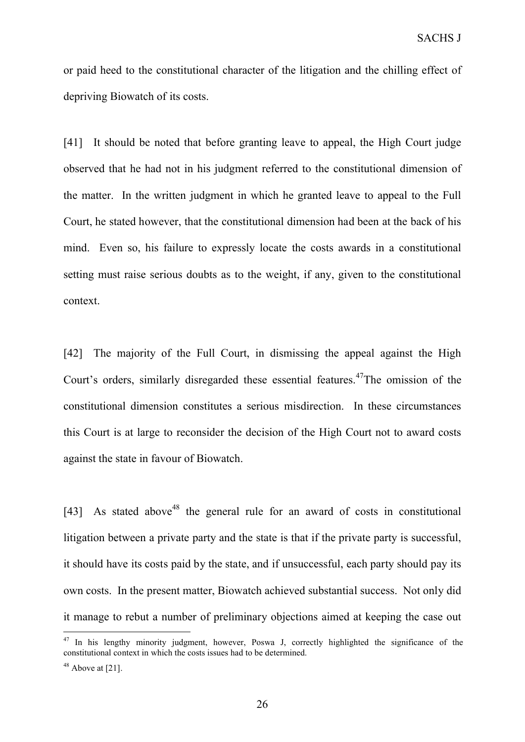or paid heed to the constitutional character of the litigation and the chilling effect of depriving Biowatch of its costs.

[41] It should be noted that before granting leave to appeal, the High Court judge observed that he had not in his judgment referred to the constitutional dimension of the matter. In the written judgment in which he granted leave to appeal to the Full Court, he stated however, that the constitutional dimension had been at the back of his mind. Even so, his failure to expressly locate the costs awards in a constitutional setting must raise serious doubts as to the weight, if any, given to the constitutional context.

[42] The majority of the Full Court, in dismissing the appeal against the High Court's orders, similarly disregarded these essential features.<sup>47</sup>The omission of the constitutional dimension constitutes a serious misdirection. In these circumstances this Court is at large to reconsider the decision of the High Court not to award costs against the state in favour of Biowatch.

[43] As stated above<sup>48</sup> the general rule for an award of costs in constitutional litigation between a private party and the state is that if the private party is successful, it should have its costs paid by the state, and if unsuccessful, each party should pay its own costs. In the present matter, Biowatch achieved substantial success. Not only did it manage to rebut a number of preliminary objections aimed at keeping the case out

 $47$  In his lengthy minority judgment, however, Poswa J, correctly highlighted the significance of the constitutional context in which the costs issues had to be determined.

 $48$  Above at [21].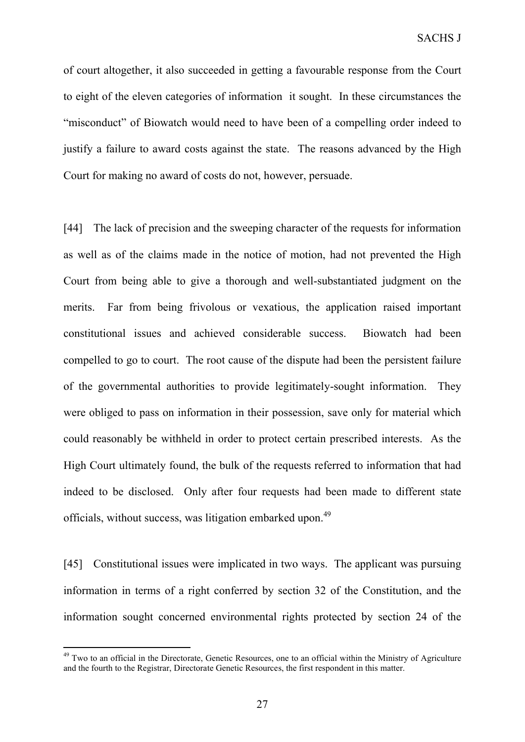of court altogether, it also succeeded in getting a favourable response from the Court to eight of the eleven categories of information it sought. In these circumstances the "misconduct" of Biowatch would need to have been of a compelling order indeed to justify a failure to award costs against the state. The reasons advanced by the High Court for making no award of costs do not, however, persuade.

[44] The lack of precision and the sweeping character of the requests for information as well as of the claims made in the notice of motion, had not prevented the High Court from being able to give a thorough and well-substantiated judgment on the merits. Far from being frivolous or vexatious, the application raised important constitutional issues and achieved considerable success. Biowatch had been compelled to go to court. The root cause of the dispute had been the persistent failure of the governmental authorities to provide legitimately-sought information. They were obliged to pass on information in their possession, save only for material which could reasonably be withheld in order to protect certain prescribed interests. As the High Court ultimately found, the bulk of the requests referred to information that had indeed to be disclosed. Only after four requests had been made to different state officials, without success, was litigation embarked upon.<sup>49</sup>

[45] Constitutional issues were implicated in two ways. The applicant was pursuing information in terms of a right conferred by section 32 of the Constitution, and the information sought concerned environmental rights protected by section 24 of the

<sup>&</sup>lt;sup>49</sup> Two to an official in the Directorate, Genetic Resources, one to an official within the Ministry of Agriculture and the fourth to the Registrar, Directorate Genetic Resources, the first respondent in this matter.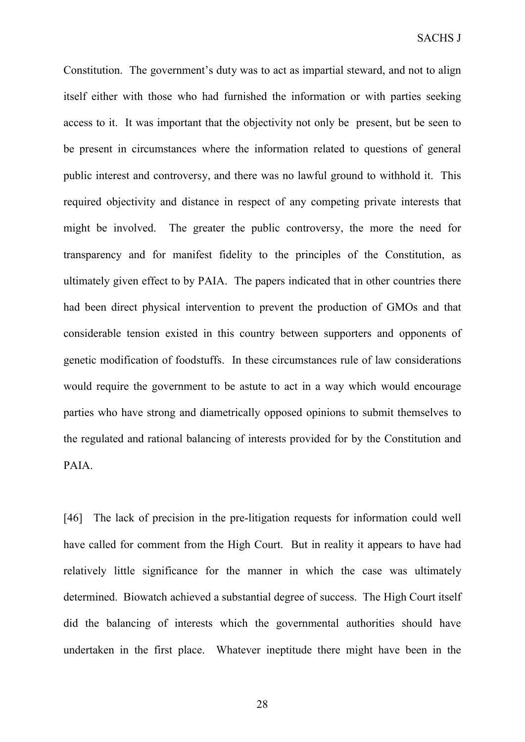Constitution. The government's duty was to act as impartial steward, and not to align itself either with those who had furnished the information or with parties seeking access to it. It was important that the objectivity not only be present, but be seen to be present in circumstances where the information related to questions of general public interest and controversy, and there was no lawful ground to withhold it. This required objectivity and distance in respect of any competing private interests that might be involved. The greater the public controversy, the more the need for transparency and for manifest fidelity to the principles of the Constitution, as ultimately given effect to by PAIA. The papers indicated that in other countries there had been direct physical intervention to prevent the production of GMOs and that considerable tension existed in this country between supporters and opponents of genetic modification of foodstuffs. In these circumstances rule of law considerations would require the government to be astute to act in a way which would encourage parties who have strong and diametrically opposed opinions to submit themselves to the regulated and rational balancing of interests provided for by the Constitution and PAIA.

[46] The lack of precision in the pre-litigation requests for information could well have called for comment from the High Court. But in reality it appears to have had relatively little significance for the manner in which the case was ultimately determined. Biowatch achieved a substantial degree of success. The High Court itself did the balancing of interests which the governmental authorities should have undertaken in the first place. Whatever ineptitude there might have been in the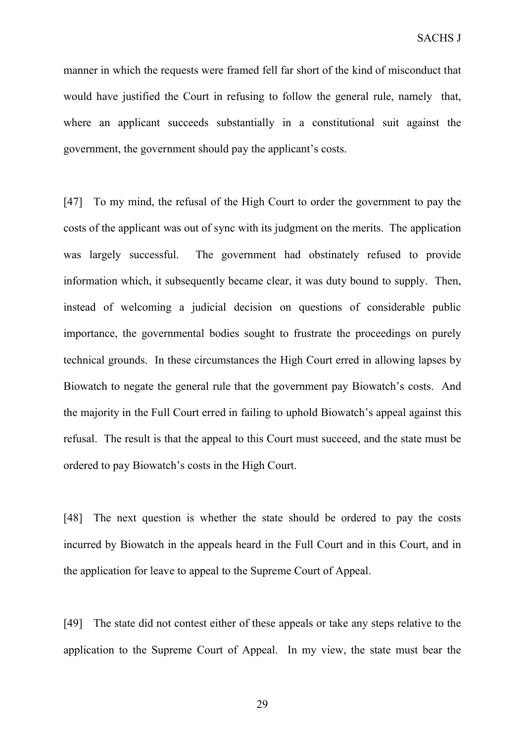manner in which the requests were framed fell far short of the kind of misconduct that would have justified the Court in refusing to follow the general rule, namely that, where an applicant succeeds substantially in a constitutional suit against the government, the government should pay the applicant's costs.

[47] To my mind, the refusal of the High Court to order the government to pay the costs of the applicant was out of sync with its judgment on the merits. The application was largely successful. The government had obstinately refused to provide information which, it subsequently became clear, it was duty bound to supply. Then, instead of welcoming a judicial decision on questions of considerable public importance, the governmental bodies sought to frustrate the proceedings on purely technical grounds. In these circumstances the High Court erred in allowing lapses by Biowatch to negate the general rule that the government pay Biowatch's costs. And the majority in the Full Court erred in failing to uphold Biowatch's appeal against this refusal. The result is that the appeal to this Court must succeed, and the state must be ordered to pay Biowatch's costs in the High Court.

[48] The next question is whether the state should be ordered to pay the costs incurred by Biowatch in the appeals heard in the Full Court and in this Court, and in the application for leave to appeal to the Supreme Court of Appeal.

[49] The state did not contest either of these appeals or take any steps relative to the application to the Supreme Court of Appeal. In my view, the state must bear the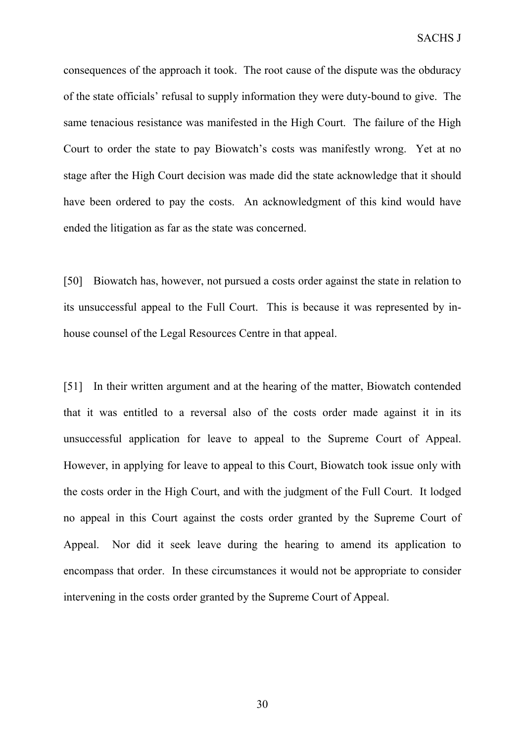consequences of the approach it took. The root cause of the dispute was the obduracy of the state officials' refusal to supply information they were duty-bound to give. The same tenacious resistance was manifested in the High Court. The failure of the High Court to order the state to pay Biowatch's costs was manifestly wrong. Yet at no stage after the High Court decision was made did the state acknowledge that it should have been ordered to pay the costs. An acknowledgment of this kind would have ended the litigation as far as the state was concerned.

[50] Biowatch has, however, not pursued a costs order against the state in relation to its unsuccessful appeal to the Full Court. This is because it was represented by inhouse counsel of the Legal Resources Centre in that appeal.

[51] In their written argument and at the hearing of the matter, Biowatch contended that it was entitled to a reversal also of the costs order made against it in its unsuccessful application for leave to appeal to the Supreme Court of Appeal. However, in applying for leave to appeal to this Court, Biowatch took issue only with the costs order in the High Court, and with the judgment of the Full Court. It lodged no appeal in this Court against the costs order granted by the Supreme Court of Appeal. Nor did it seek leave during the hearing to amend its application to encompass that order. In these circumstances it would not be appropriate to consider intervening in the costs order granted by the Supreme Court of Appeal.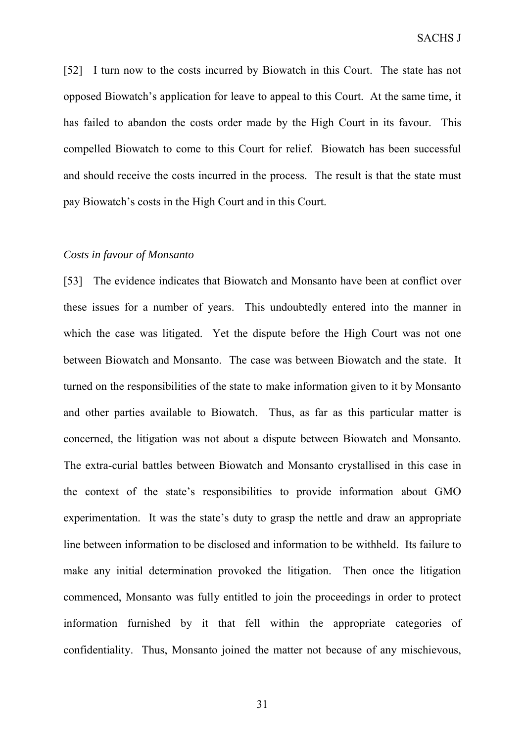[52] I turn now to the costs incurred by Biowatch in this Court. The state has not opposed Biowatch's application for leave to appeal to this Court. At the same time, it has failed to abandon the costs order made by the High Court in its favour. This compelled Biowatch to come to this Court for relief. Biowatch has been successful and should receive the costs incurred in the process. The result is that the state must pay Biowatch's costs in the High Court and in this Court.

#### *Costs in favour of Monsanto*

[53] The evidence indicates that Biowatch and Monsanto have been at conflict over these issues for a number of years. This undoubtedly entered into the manner in which the case was litigated. Yet the dispute before the High Court was not one between Biowatch and Monsanto. The case was between Biowatch and the state. It turned on the responsibilities of the state to make information given to it by Monsanto and other parties available to Biowatch. Thus, as far as this particular matter is concerned, the litigation was not about a dispute between Biowatch and Monsanto. The extra-curial battles between Biowatch and Monsanto crystallised in this case in the context of the state's responsibilities to provide information about GMO experimentation. It was the state's duty to grasp the nettle and draw an appropriate line between information to be disclosed and information to be withheld. Its failure to make any initial determination provoked the litigation. Then once the litigation commenced, Monsanto was fully entitled to join the proceedings in order to protect information furnished by it that fell within the appropriate categories of confidentiality. Thus, Monsanto joined the matter not because of any mischievous,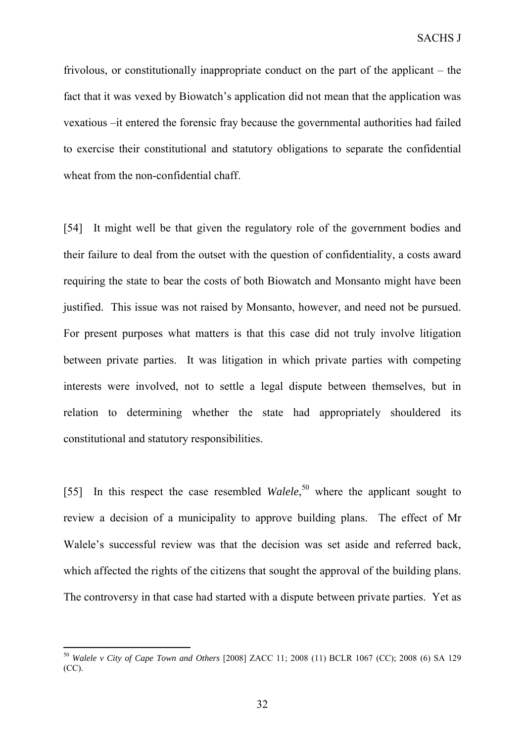frivolous, or constitutionally inappropriate conduct on the part of the applicant – the fact that it was vexed by Biowatch's application did not mean that the application was vexatious –it entered the forensic fray because the governmental authorities had failed to exercise their constitutional and statutory obligations to separate the confidential wheat from the non-confidential chaff.

[54] It might well be that given the regulatory role of the government bodies and their failure to deal from the outset with the question of confidentiality, a costs award requiring the state to bear the costs of both Biowatch and Monsanto might have been justified. This issue was not raised by Monsanto, however, and need not be pursued. For present purposes what matters is that this case did not truly involve litigation between private parties. It was litigation in which private parties with competing interests were involved, not to settle a legal dispute between themselves, but in relation to determining whether the state had appropriately shouldered its constitutional and statutory responsibilities.

[55] In this respect the case resembled *Walele*,<sup>50</sup> where the applicant sought to review a decision of a municipality to approve building plans. The effect of Mr Walele's successful review was that the decision was set aside and referred back, which affected the rights of the citizens that sought the approval of the building plans. The controversy in that case had started with a dispute between private parties. Yet as

<sup>50</sup> *Walele v City of Cape Town and Others* [2008] ZACC 11; 2008 (11) BCLR 1067 (CC); 2008 (6) SA 129 (CC).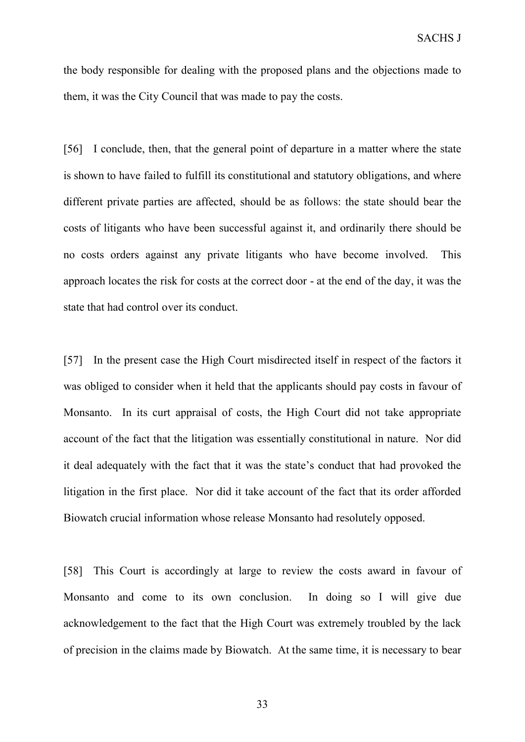the body responsible for dealing with the proposed plans and the objections made to them, it was the City Council that was made to pay the costs.

[56] I conclude, then, that the general point of departure in a matter where the state is shown to have failed to fulfill its constitutional and statutory obligations, and where different private parties are affected, should be as follows: the state should bear the costs of litigants who have been successful against it, and ordinarily there should be no costs orders against any private litigants who have become involved. This approach locates the risk for costs at the correct door - at the end of the day, it was the state that had control over its conduct.

[57] In the present case the High Court misdirected itself in respect of the factors it was obliged to consider when it held that the applicants should pay costs in favour of Monsanto. In its curt appraisal of costs, the High Court did not take appropriate account of the fact that the litigation was essentially constitutional in nature. Nor did it deal adequately with the fact that it was the state's conduct that had provoked the litigation in the first place. Nor did it take account of the fact that its order afforded Biowatch crucial information whose release Monsanto had resolutely opposed.

[58] This Court is accordingly at large to review the costs award in favour of Monsanto and come to its own conclusion. In doing so I will give due acknowledgement to the fact that the High Court was extremely troubled by the lack of precision in the claims made by Biowatch. At the same time, it is necessary to bear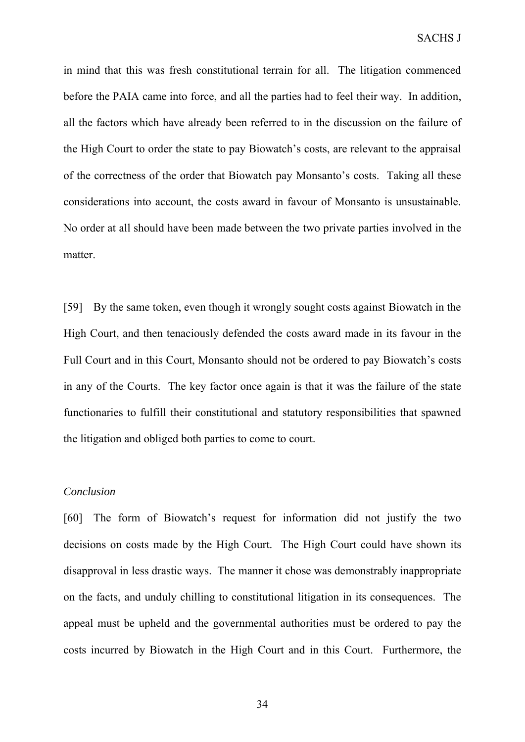in mind that this was fresh constitutional terrain for all. The litigation commenced before the PAIA came into force, and all the parties had to feel their way. In addition, all the factors which have already been referred to in the discussion on the failure of the High Court to order the state to pay Biowatch's costs, are relevant to the appraisal of the correctness of the order that Biowatch pay Monsanto's costs. Taking all these considerations into account, the costs award in favour of Monsanto is unsustainable. No order at all should have been made between the two private parties involved in the matter.

[59] By the same token, even though it wrongly sought costs against Biowatch in the High Court, and then tenaciously defended the costs award made in its favour in the Full Court and in this Court, Monsanto should not be ordered to pay Biowatch's costs in any of the Courts. The key factor once again is that it was the failure of the state functionaries to fulfill their constitutional and statutory responsibilities that spawned the litigation and obliged both parties to come to court.

## *Conclusion*

[60] The form of Biowatch's request for information did not justify the two decisions on costs made by the High Court. The High Court could have shown its disapproval in less drastic ways. The manner it chose was demonstrably inappropriate on the facts, and unduly chilling to constitutional litigation in its consequences. The appeal must be upheld and the governmental authorities must be ordered to pay the costs incurred by Biowatch in the High Court and in this Court. Furthermore, the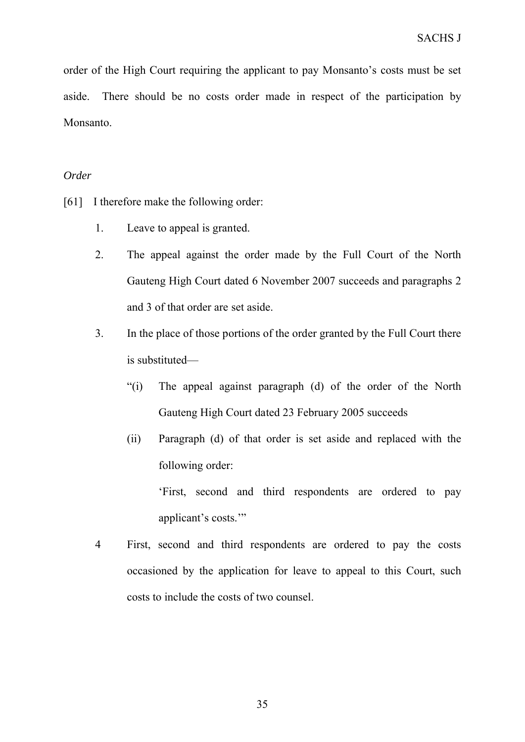order of the High Court requiring the applicant to pay Monsanto's costs must be set aside. There should be no costs order made in respect of the participation by Monsanto.

## *Order*

- [61] I therefore make the following order:
	- 1. Leave to appeal is granted.
	- 2. The appeal against the order made by the Full Court of the North Gauteng High Court dated 6 November 2007 succeeds and paragraphs 2 and 3 of that order are set aside.
	- 3. In the place of those portions of the order granted by the Full Court there is substituted—
		- "(i) The appeal against paragraph (d) of the order of the North Gauteng High Court dated 23 February 2005 succeeds
		- (ii) Paragraph (d) of that order is set aside and replaced with the following order:

'First, second and third respondents are ordered to pay applicant's costs.'"

4 First, second and third respondents are ordered to pay the costs occasioned by the application for leave to appeal to this Court, such costs to include the costs of two counsel.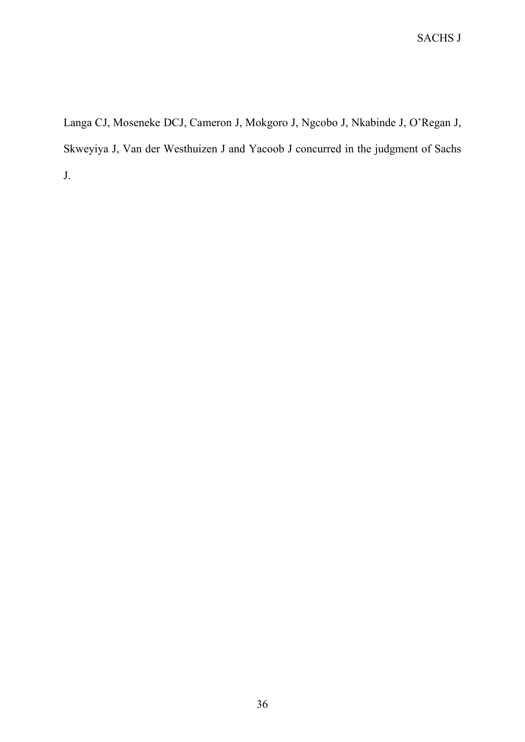Langa CJ, Moseneke DCJ, Cameron J, Mokgoro J, Ngcobo J, Nkabinde J, O'Regan J, Skweyiya J, Van der Westhuizen J and Yacoob J concurred in the judgment of Sachs J.